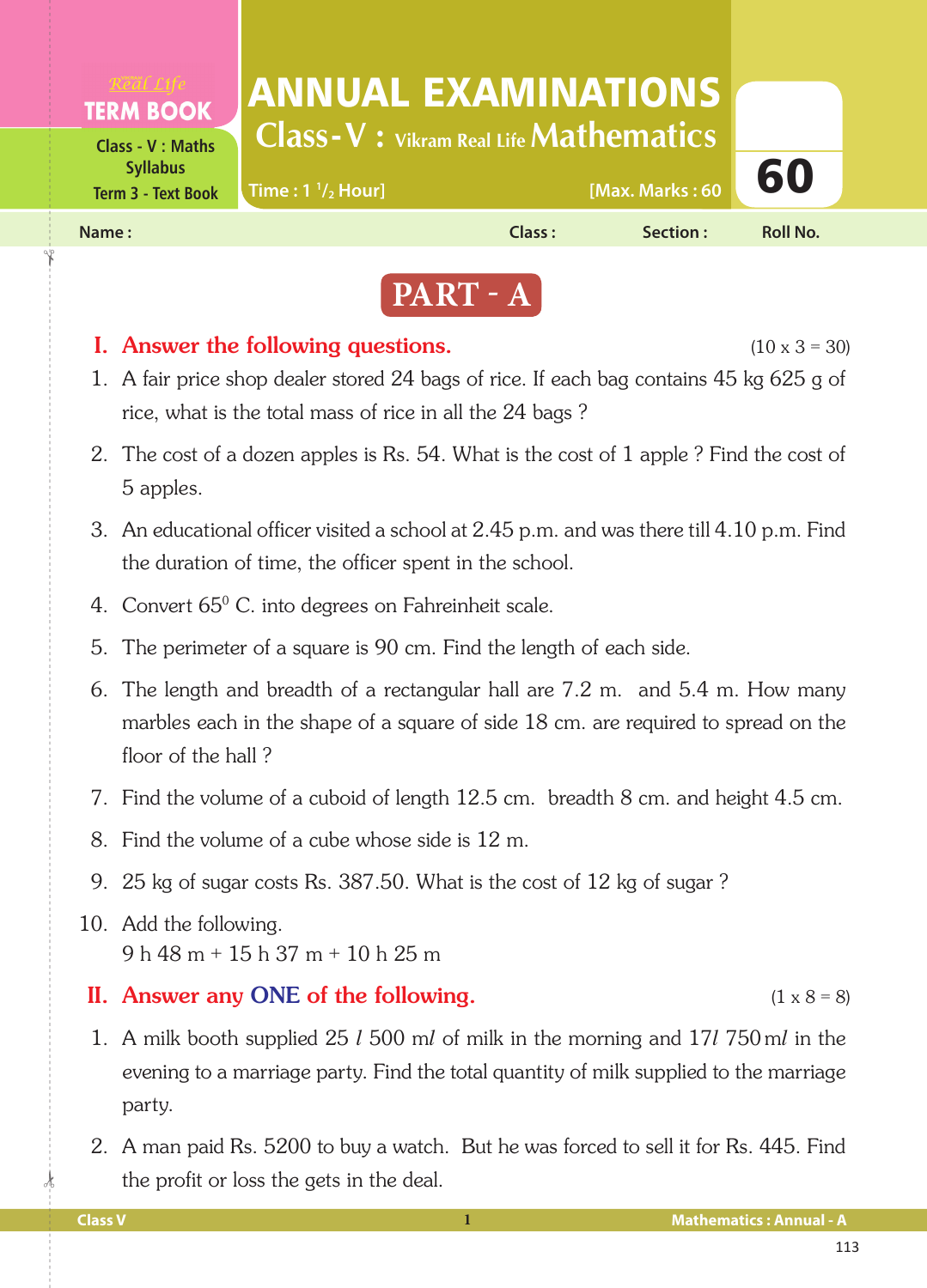



### **I.** Answer the following questions.  $(10 \times 3 = 30)$

- 1. A fair price shop dealer stored 24 bags of rice. If each bag contains 45 kg 625 g of rice, what is the total mass of rice in all the 24 bags ?
- 2. The cost of a dozen apples is Rs. 54. What is the cost of 1 apple ? Find the cost of 5 apples.
- 3. An educational officer visited a school at 2.45 p.m. and was there till 4.10 p.m. Find the duration of time, the officer spent in the school.
- 4. Convert  $65^{\circ}$  C. into degrees on Fahreinheit scale.
	- 5. The perimeter of a square is 90 cm. Find the length of each side.
	- 6. The length and breadth of a rectangular hall are 7.2 m. and 5.4 m. How many marbles each in the shape of a square of side 18 cm. are required to spread on the floor of the hall ?
	- 7. Find the volume of a cuboid of length 12.5 cm. breadth 8 cm. and height 4.5 cm.
	- 8. Find the volume of a cube whose side is 12 m.
	- 9. 25 kg of sugar costs Rs. 387.50. What is the cost of 12 kg of sugar ?
- 10. Add the following. 9 h 48 m + 15 h 37 m + 10 h 25 m

### II. Answer any ONE of the following.  $(1 \times 8 = 8)$

- 1. A milk booth supplied 25 *l* 500 m*l* of milk in the morning and 17*l* 750 m*l* in the evening to a marriage party. Find the total quantity of milk supplied to the marriage party.
- 2. A man paid Rs. 5200 to buy a watch. But he was forced to sell it for Rs. 445. Find the profit or loss the gets in the deal.

 $\frac{1}{2}$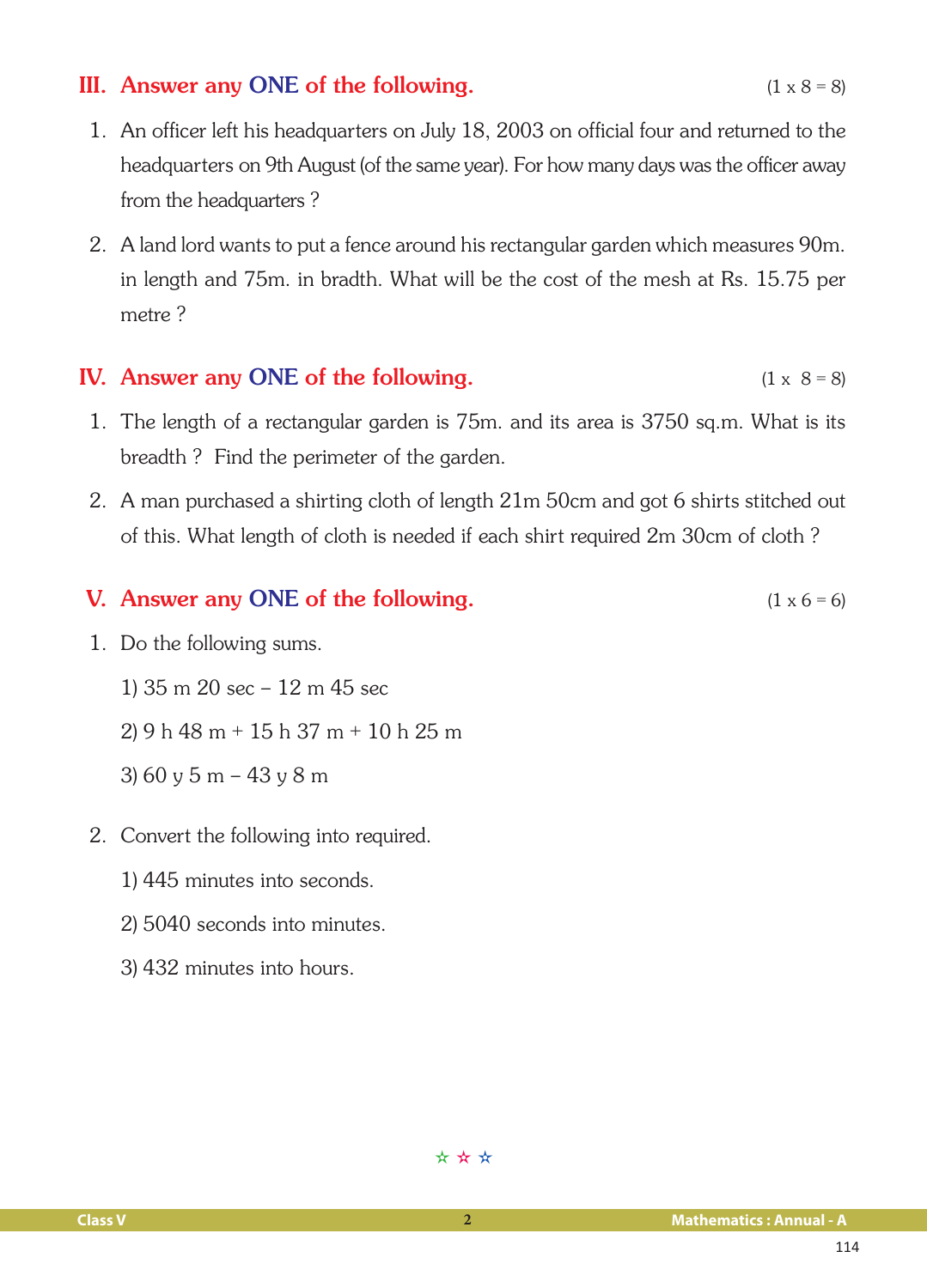# III. Answer any ONE of the following.  $(1 \times 8 = 8)$

- 1. An officer left his headquarters on July 18, 2003 on official four and returned to the headquarters on 9th August (of the same year). For how many days was the officer away from the headquarters ?
- 2. A land lord wants to put a fence around his rectangular garden which measures 90m. in length and 75m. in bradth. What will be the cost of the mesh at Rs. 15.75 per metre ?

# IV. Answer any ONE of the following.  $(1 \times 8 = 8)$

- 1. The length of a rectangular garden is 75m. and its area is 3750 sq.m. What is its breadth ? Find the perimeter of the garden.
- 2. A man purchased a shirting cloth of length 21m 50cm and got 6 shirts stitched out of this. What length of cloth is needed if each shirt required 2m 30cm of cloth ?

# **V.** Answer any ONE of the following.  $(1 \times 6 = 6)$

- 1. Do the following sums.
	- 1) 35 m 20 sec 12 m 45 sec
	- 2) 9 h 48 m + 15 h 37 m + 10 h 25 m
	- 3) 60 y 5 m 43 y 8 m
- 2. Convert the following into required.
	- 1) 445 minutes into seconds.
	- 2) 5040 seconds into minutes.
	- 3) 432 minutes into hours.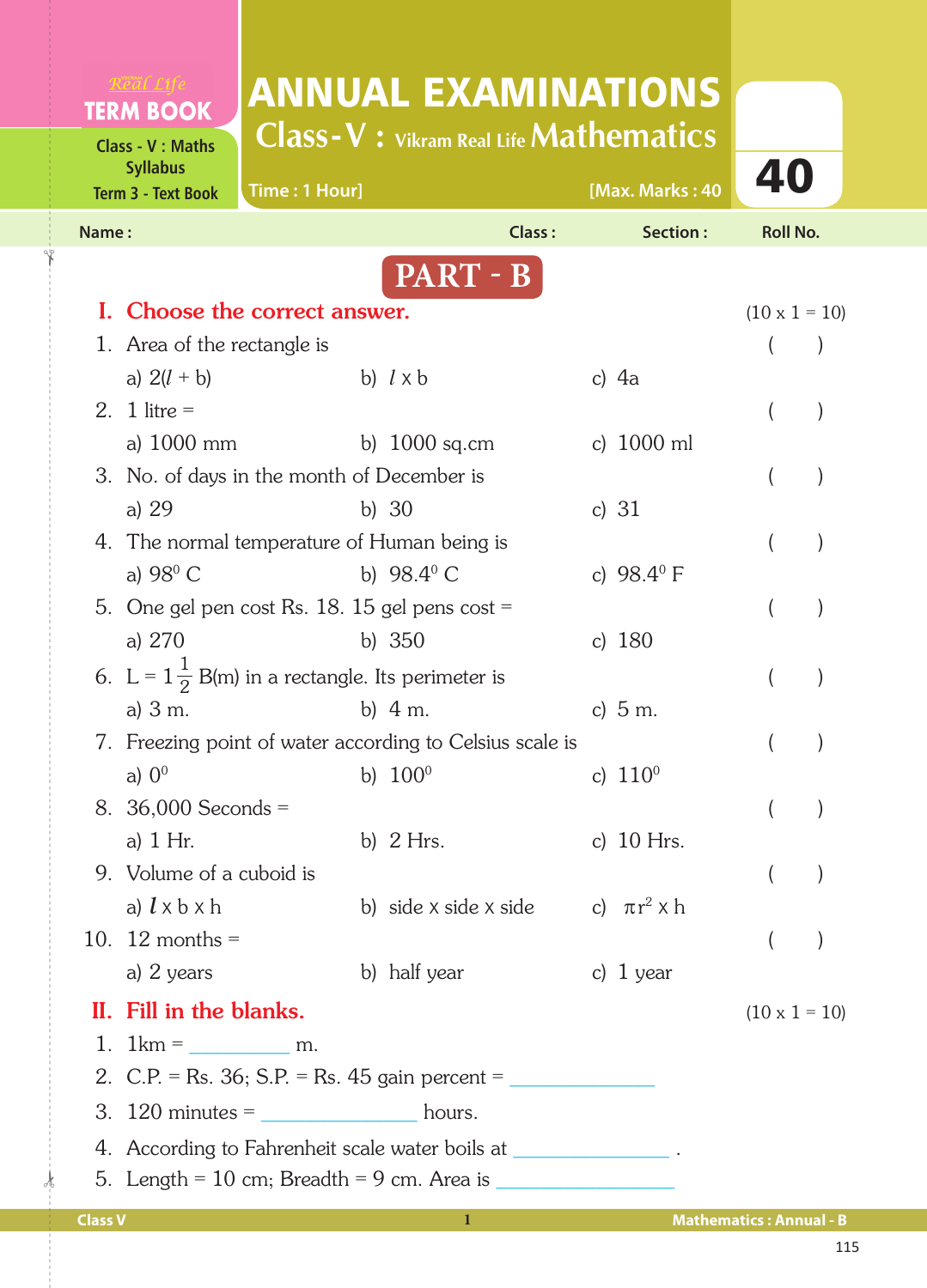| <b>TERM BOOK</b><br><b>Class - V: Maths</b>  |                                                                    | <b>ANNUAL EXAMINATIONS</b><br><b>Class-V</b> : Vikram Real Life <b>Mathematics</b>              |                       |  |                                                                                                                                                                                                                                      |                 |  |  |  |  |
|----------------------------------------------|--------------------------------------------------------------------|-------------------------------------------------------------------------------------------------|-----------------------|--|--------------------------------------------------------------------------------------------------------------------------------------------------------------------------------------------------------------------------------------|-----------------|--|--|--|--|
| <b>Syllabus</b><br><b>Term 3 - Text Book</b> |                                                                    | Time: 1 Hour]                                                                                   |                       |  | [Max. Marks: 40                                                                                                                                                                                                                      | 40              |  |  |  |  |
| Name:                                        |                                                                    |                                                                                                 | Class:                |  | Section:                                                                                                                                                                                                                             | <b>Roll No.</b> |  |  |  |  |
|                                              |                                                                    |                                                                                                 | PART - B              |  |                                                                                                                                                                                                                                      |                 |  |  |  |  |
| L.                                           | Choose the correct answer.                                         | $(10 \times 1 = 10)$                                                                            |                       |  |                                                                                                                                                                                                                                      |                 |  |  |  |  |
|                                              | 1. Area of the rectangle is                                        |                                                                                                 |                       |  |                                                                                                                                                                                                                                      |                 |  |  |  |  |
|                                              | a) $2(l + b)$                                                      |                                                                                                 | b) $l \times b$       |  | c) $4a$                                                                                                                                                                                                                              |                 |  |  |  |  |
|                                              | 2. 1 litre $=$                                                     |                                                                                                 |                       |  |                                                                                                                                                                                                                                      |                 |  |  |  |  |
|                                              | a) 1000 mm                                                         |                                                                                                 | b) $1000$ sq.cm       |  | c) 1000 ml                                                                                                                                                                                                                           |                 |  |  |  |  |
|                                              | 3. No. of days in the month of December is                         |                                                                                                 |                       |  |                                                                                                                                                                                                                                      |                 |  |  |  |  |
|                                              | a) $29$                                                            |                                                                                                 | b) $30$               |  | c) $31$                                                                                                                                                                                                                              |                 |  |  |  |  |
|                                              |                                                                    | 4. The normal temperature of Human being is                                                     |                       |  |                                                                                                                                                                                                                                      |                 |  |  |  |  |
|                                              | a) $98^{\circ}$ C                                                  |                                                                                                 | b) $98.4^{\circ}$ C   |  | c) $98.4^{\circ}$ F                                                                                                                                                                                                                  |                 |  |  |  |  |
|                                              |                                                                    | 5. One gel pen cost Rs. $18.15$ gel pens cost =                                                 |                       |  |                                                                                                                                                                                                                                      |                 |  |  |  |  |
|                                              | a) 270                                                             |                                                                                                 | b) $350$              |  | c) $180$                                                                                                                                                                                                                             |                 |  |  |  |  |
|                                              | 6. L = $1\frac{1}{2}$ B(m) in a rectangle. Its perimeter is        |                                                                                                 |                       |  |                                                                                                                                                                                                                                      |                 |  |  |  |  |
|                                              | a) $3 \text{ m}$ .                                                 |                                                                                                 | b) $4 m.$             |  | c) $5 m.$                                                                                                                                                                                                                            |                 |  |  |  |  |
|                                              | 7. Freezing point of water according to Celsius scale is           |                                                                                                 |                       |  |                                                                                                                                                                                                                                      |                 |  |  |  |  |
|                                              |                                                                    | a) $0^0$ b) $100^0$ c) $110^0$                                                                  |                       |  |                                                                                                                                                                                                                                      |                 |  |  |  |  |
|                                              | 8. 36,000 Seconds =                                                |                                                                                                 |                       |  |                                                                                                                                                                                                                                      |                 |  |  |  |  |
|                                              | a) $1$ Hr.                                                         |                                                                                                 | b) $2$ Hrs.           |  | c) $10$ Hrs.                                                                                                                                                                                                                         |                 |  |  |  |  |
|                                              | 9. Volume of a cuboid is                                           |                                                                                                 |                       |  |                                                                                                                                                                                                                                      |                 |  |  |  |  |
|                                              | a) $l \times b \times h$                                           |                                                                                                 | b) side x side x side |  | c) $\pi r^2 \times h$                                                                                                                                                                                                                |                 |  |  |  |  |
|                                              | 10. 12 months $=$                                                  |                                                                                                 |                       |  |                                                                                                                                                                                                                                      |                 |  |  |  |  |
|                                              | a) 2 years                                                         |                                                                                                 | b) half year          |  | c) $1$ year                                                                                                                                                                                                                          |                 |  |  |  |  |
|                                              | II. Fill in the blanks.                                            |                                                                                                 | $(10 \times 1 = 10)$  |  |                                                                                                                                                                                                                                      |                 |  |  |  |  |
|                                              | 1. $1 \text{km} = \underline{\qquad \qquad} \text{m}.$             |                                                                                                 |                       |  |                                                                                                                                                                                                                                      |                 |  |  |  |  |
|                                              |                                                                    | 2. C.P. = Rs. 36; S.P. = Rs. 45 gain percent = __________________________________               |                       |  |                                                                                                                                                                                                                                      |                 |  |  |  |  |
|                                              | 3. $120$ minutes =                                                 | <b>Example 2018</b> hours.                                                                      |                       |  |                                                                                                                                                                                                                                      |                 |  |  |  |  |
|                                              | 4. According to Fahrenheit scale water boils at _________________. |                                                                                                 |                       |  |                                                                                                                                                                                                                                      |                 |  |  |  |  |
|                                              |                                                                    | 5. Length = $10 \text{ cm}$ ; Breadth = $9 \text{ cm}$ . Area is ______________________________ |                       |  |                                                                                                                                                                                                                                      |                 |  |  |  |  |
|                                              |                                                                    |                                                                                                 |                       |  | <u>a sa salah sahiji désa di kacamatan di kacamatan di kacamatan di kacamatan di kacamatan di kacamatan di kacamatan di kacamatan di kacamatan di kacamatan di kacamatan di kacamatan di kacamatan di kacamatan di kacamatan di </u> |                 |  |  |  |  |

 $\frac{1}{2}$ 

✁

**Class V 1 Mathematics : Annual - B**